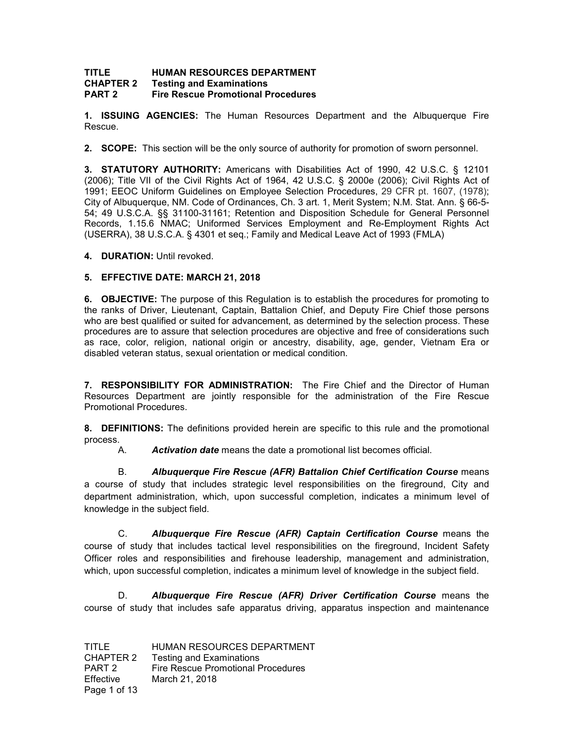#### **TITLE HUMAN RESOURCES DEPARTMENT<br>CHAPTER 2 Festing and Examinations Testing and Examinations PART 2 Fire Rescue Promotional Procedures**

**1. ISSUING AGENCIES:** The Human Resources Department and the Albuquerque Fire Rescue.

**2. SCOPE:** This section will be the only source of authority for promotion of sworn personnel.

**3. STATUTORY AUTHORITY:** Americans with Disabilities Act of 1990, 42 U.S.C. § 12101 (2006); Title VII of the Civil Rights Act of 1964, 42 U.S.C. § 2000e (2006); Civil Rights Act of 1991; EEOC Uniform Guidelines on Employee Selection Procedures, 29 CFR pt. 1607, (1978); City of Albuquerque, NM. Code of Ordinances, Ch. 3 art. 1, Merit System; N.M. Stat. Ann. § 66-5- 54; 49 U.S.C.A. §§ 31100-31161; Retention and Disposition Schedule for General Personnel Records, 1.15.6 NMAC; Uniformed Services Employment and Re-Employment Rights Act (USERRA), 38 U.S.C.A. § 4301 et seq.; Family and Medical Leave Act of 1993 (FMLA)

**4. DURATION:** Until revoked.

# **5. EFFECTIVE DATE: MARCH 21, 2018**

**6. OBJECTIVE:** The purpose of this Regulation is to establish the procedures for promoting to the ranks of Driver, Lieutenant, Captain, Battalion Chief, and Deputy Fire Chief those persons who are best qualified or suited for advancement, as determined by the selection process. These procedures are to assure that selection procedures are objective and free of considerations such as race, color, religion, national origin or ancestry, disability, age, gender, Vietnam Era or disabled veteran status, sexual orientation or medical condition.

**7. RESPONSIBILITY FOR ADMINISTRATION:** The Fire Chief and the Director of Human Resources Department are jointly responsible for the administration of the Fire Rescue Promotional Procedures.

**8. DEFINITIONS:** The definitions provided herein are specific to this rule and the promotional process.

A. *Activation date* means the date a promotional list becomes official.

B. *Albuquerque Fire Rescue (AFR) Battalion Chief Certification Course* means a course of study that includes strategic level responsibilities on the fireground, City and department administration, which, upon successful completion, indicates a minimum level of knowledge in the subject field.

C. *Albuquerque Fire Rescue (AFR) Captain Certification Course* means the course of study that includes tactical level responsibilities on the fireground, Incident Safety Officer roles and responsibilities and firehouse leadership, management and administration, which, upon successful completion, indicates a minimum level of knowledge in the subject field.

D. *Albuquerque Fire Rescue (AFR) Driver Certification Course* means the course of study that includes safe apparatus driving, apparatus inspection and maintenance

TITLE HUMAN RESOURCES DEPARTMENT CHAPTER 2 Testing and Examinations PART 2 Fire Rescue Promotional Procedures Effective March 21, 2018 Page 1 of 13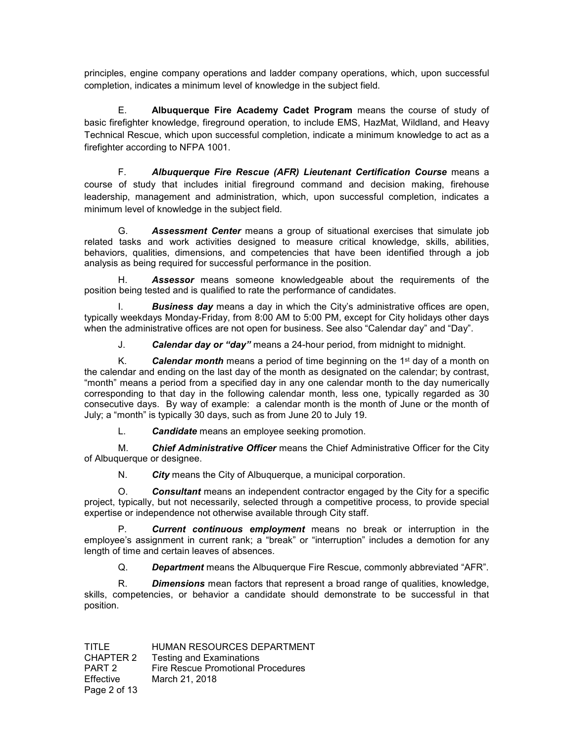principles, engine company operations and ladder company operations, which, upon successful completion, indicates a minimum level of knowledge in the subject field.

E. **Albuquerque Fire Academy Cadet Program** means the course of study of basic firefighter knowledge, fireground operation, to include EMS, HazMat, Wildland, and Heavy Technical Rescue, which upon successful completion, indicate a minimum knowledge to act as a firefighter according to NFPA 1001.

F. *Albuquerque Fire Rescue (AFR) Lieutenant Certification Course* means a course of study that includes initial fireground command and decision making, firehouse leadership, management and administration, which, upon successful completion, indicates a minimum level of knowledge in the subject field.

G. *Assessment Center* means a group of situational exercises that simulate job related tasks and work activities designed to measure critical knowledge, skills, abilities, behaviors, qualities, dimensions, and competencies that have been identified through a job analysis as being required for successful performance in the position.

H. *Assessor* means someone knowledgeable about the requirements of the position being tested and is qualified to rate the performance of candidates.

I. *Business day* means a day in which the City's administrative offices are open, typically weekdays Monday-Friday, from 8:00 AM to 5:00 PM, except for City holidays other days when the administrative offices are not open for business. See also "Calendar day" and "Day".

J. *Calendar day or "day"* means a 24-hour period, from midnight to midnight.

K. **Calendar month** means a period of time beginning on the 1<sup>st</sup> day of a month on the calendar and ending on the last day of the month as designated on the calendar; by contrast, "month" means a period from a specified day in any one calendar month to the day numerically corresponding to that day in the following calendar month, less one, typically regarded as 30 consecutive days. By way of example: a calendar month is the month of June or the month of July; a "month" is typically 30 days, such as from June 20 to July 19.

L. *Candidate* means an employee seeking promotion.

M. *Chief Administrative Officer* means the Chief Administrative Officer for the City of Albuquerque or designee.

N. *City* means the City of Albuquerque, a municipal corporation.

O. *Consultant* means an independent contractor engaged by the City for a specific project, typically, but not necessarily, selected through a competitive process, to provide special expertise or independence not otherwise available through City staff.

P. *Current continuous employment* means no break or interruption in the employee's assignment in current rank; a "break" or "interruption" includes a demotion for any length of time and certain leaves of absences.

Q. *Department* means the Albuquerque Fire Rescue, commonly abbreviated "AFR".

R. *Dimensions* mean factors that represent a broad range of qualities, knowledge, skills, competencies, or behavior a candidate should demonstrate to be successful in that position.

| TITLE        | HUMAN RESOURCES DEPARTMENT         |
|--------------|------------------------------------|
| CHAPTER 2    | <b>Testing and Examinations</b>    |
| PART 2       | Fire Rescue Promotional Procedures |
| Effective    | March 21, 2018                     |
| Page 2 of 13 |                                    |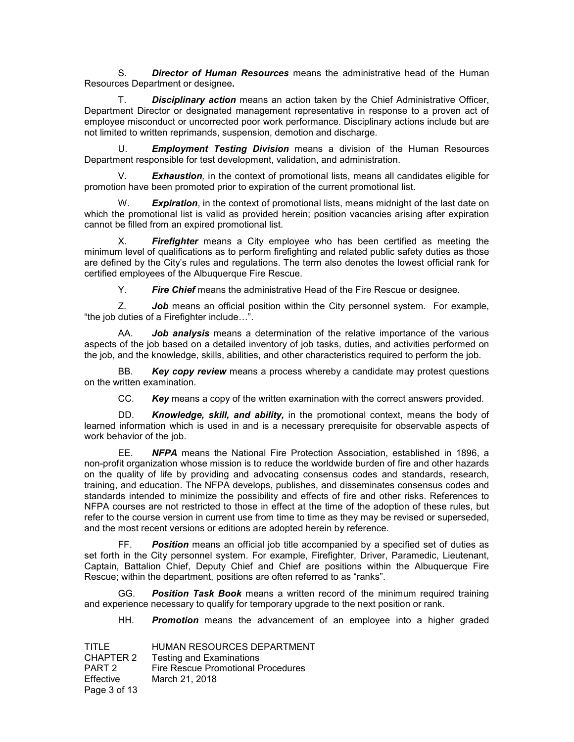S. *Director of Human Resources* means the administrative head of the Human Resources Department or designee**.**

T. *Disciplinary action* means an action taken by the Chief Administrative Officer, Department Director or designated management representative in response to a proven act of employee misconduct or uncorrected poor work performance. Disciplinary actions include but are not limited to written reprimands, suspension, demotion and discharge.

U. *Employment Testing Division* means a division of the Human Resources Department responsible for test development, validation, and administration.

**Exhaustion**, in the context of promotional lists, means all candidates eligible for promotion have been promoted prior to expiration of the current promotional list.

W. *Expiration*, in the context of promotional lists, means midnight of the last date on which the promotional list is valid as provided herein; position vacancies arising after expiration cannot be filled from an expired promotional list.

X. *Firefighter* means a City employee who has been certified as meeting the minimum level of qualifications as to perform firefighting and related public safety duties as those are defined by the City's rules and regulations. The term also denotes the lowest official rank for certified employees of the Albuquerque Fire Rescue.

Y. *Fire Chief* means the administrative Head of the Fire Rescue or designee.

Z. *Job* means an official position within the City personnel system. For example, "the job duties of a Firefighter include…".

AA. *Job analysis* means a determination of the relative importance of the various aspects of the job based on a detailed inventory of job tasks, duties, and activities performed on the job, and the knowledge, skills, abilities, and other characteristics required to perform the job.

BB. *Key copy review* means a process whereby a candidate may protest questions on the written examination.

CC. *Key* means a copy of the written examination with the correct answers provided.

DD. *Knowledge, skill, and ability,* in the promotional context, means the body of learned information which is used in and is a necessary prerequisite for observable aspects of work behavior of the job.

EE. *NFPA* means the National Fire Protection Association, established in 1896, a non-profit organization whose mission is to reduce the worldwide burden of fire and other hazards on the quality of life by providing and advocating consensus codes and standards, research, training, and education. The NFPA develops, publishes, and disseminates consensus codes and standards intended to minimize the possibility and effects of fire and other risks. References to NFPA courses are not restricted to those in effect at the time of the adoption of these rules, but refer to the course version in current use from time to time as they may be revised or superseded, and the most recent versions or editions are adopted herein by reference.

FF. *Position* means an official job title accompanied by a specified set of duties as set forth in the City personnel system. For example, Firefighter, Driver, Paramedic, Lieutenant, Captain, Battalion Chief, Deputy Chief and Chief are positions within the Albuquerque Fire Rescue; within the department, positions are often referred to as "ranks".

GG. *Position Task Book* means a written record of the minimum required training and experience necessary to qualify for temporary upgrade to the next position or rank.

HH. *Promotion* means the advancement of an employee into a higher graded

| TITLE        | HUMAN RESOURCES DEPARTMENT         |
|--------------|------------------------------------|
| CHAPTER 2    | <b>Testing and Examinations</b>    |
| PART 2       | Fire Rescue Promotional Procedures |
| Effective    | March 21, 2018                     |
| Page 3 of 13 |                                    |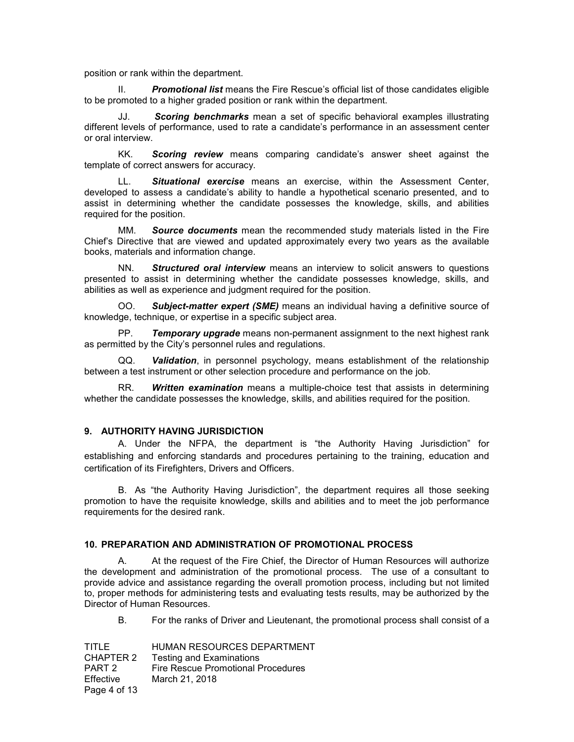position or rank within the department.

II. *Promotional list* means the Fire Rescue's official list of those candidates eligible to be promoted to a higher graded position or rank within the department.

**Scoring benchmarks** mean a set of specific behavioral examples illustrating different levels of performance, used to rate a candidate's performance in an assessment center or oral interview.

KK. *Scoring review* means comparing candidate's answer sheet against the template of correct answers for accuracy.

LL. *Situational exercise* means an exercise, within the Assessment Center, developed to assess a candidate's ability to handle a hypothetical scenario presented, and to assist in determining whether the candidate possesses the knowledge, skills, and abilities required for the position.

MM. *Source documents* mean the recommended study materials listed in the Fire Chief's Directive that are viewed and updated approximately every two years as the available books, materials and information change.

NN. *Structured oral interview* means an interview to solicit answers to questions presented to assist in determining whether the candidate possesses knowledge, skills, and abilities as well as experience and judgment required for the position.

OO. *Subject-matter expert (SME)* means an individual having a definitive source of knowledge, technique, or expertise in a specific subject area.

PP. *Temporary upgrade* means non-permanent assignment to the next highest rank as permitted by the City's personnel rules and regulations.

QQ. *Validation*, in personnel psychology, means establishment of the relationship between a test instrument or other selection procedure and performance on the job.

RR. *Written examination* means a multiple-choice test that assists in determining whether the candidate possesses the knowledge, skills, and abilities required for the position.

### **9. AUTHORITY HAVING JURISDICTION**

A. Under the NFPA, the department is "the Authority Having Jurisdiction" for establishing and enforcing standards and procedures pertaining to the training, education and certification of its Firefighters, Drivers and Officers.

B. As "the Authority Having Jurisdiction", the department requires all those seeking promotion to have the requisite knowledge, skills and abilities and to meet the job performance requirements for the desired rank.

#### **10. PREPARATION AND ADMINISTRATION OF PROMOTIONAL PROCESS**

A. At the request of the Fire Chief, the Director of Human Resources will authorize the development and administration of the promotional process. The use of a consultant to provide advice and assistance regarding the overall promotion process, including but not limited to, proper methods for administering tests and evaluating tests results, may be authorized by the Director of Human Resources.

B. For the ranks of Driver and Lieutenant, the promotional process shall consist of a

| TITLE        | HUMAN RESOURCES DEPARTMENT         |
|--------------|------------------------------------|
| CHAPTER 2    | <b>Testing and Examinations</b>    |
| PART 2       | Fire Rescue Promotional Procedures |
| Effective    | March 21, 2018                     |
| Page 4 of 13 |                                    |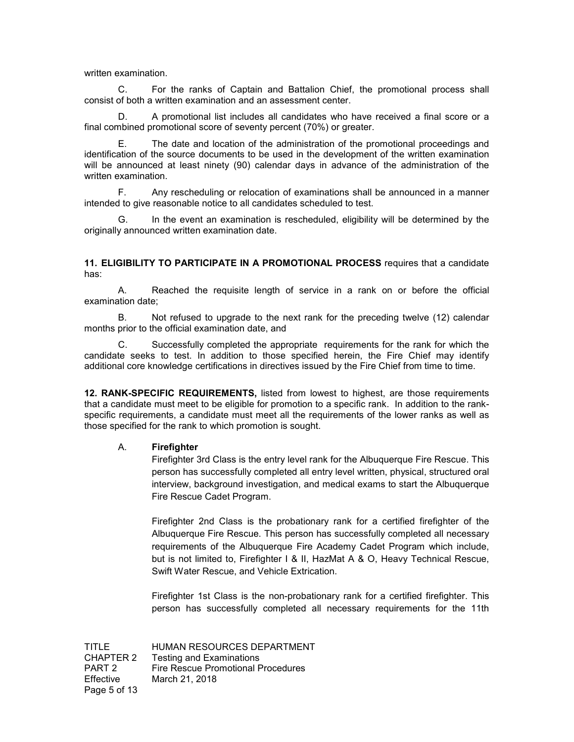written examination.

C. For the ranks of Captain and Battalion Chief, the promotional process shall consist of both a written examination and an assessment center.

D. A promotional list includes all candidates who have received a final score or a final combined promotional score of seventy percent (70%) or greater.

E. The date and location of the administration of the promotional proceedings and identification of the source documents to be used in the development of the written examination will be announced at least ninety (90) calendar days in advance of the administration of the written examination.

F. Any rescheduling or relocation of examinations shall be announced in a manner intended to give reasonable notice to all candidates scheduled to test.

G. In the event an examination is rescheduled, eligibility will be determined by the originally announced written examination date.

**11. ELIGIBILITY TO PARTICIPATE IN A PROMOTIONAL PROCESS** requires that a candidate has:

A. Reached the requisite length of service in a rank on or before the official examination date;

B. Not refused to upgrade to the next rank for the preceding twelve (12) calendar months prior to the official examination date, and

C. Successfully completed the appropriate requirements for the rank for which the candidate seeks to test. In addition to those specified herein, the Fire Chief may identify additional core knowledge certifications in directives issued by the Fire Chief from time to time.

**12. RANK-SPECIFIC REQUIREMENTS,** listed from lowest to highest, are those requirements that a candidate must meet to be eligible for promotion to a specific rank. In addition to the rankspecific requirements, a candidate must meet all the requirements of the lower ranks as well as those specified for the rank to which promotion is sought.

#### A. **Firefighter**

Firefighter 3rd Class is the entry level rank for the Albuquerque Fire Rescue. This person has successfully completed all entry level written, physical, structured oral interview, background investigation, and medical exams to start the Albuquerque Fire Rescue Cadet Program.

Firefighter 2nd Class is the probationary rank for a certified firefighter of the Albuquerque Fire Rescue. This person has successfully completed all necessary requirements of the Albuquerque Fire Academy Cadet Program which include, but is not limited to, Firefighter I & II, HazMat A & O, Heavy Technical Rescue, Swift Water Rescue, and Vehicle Extrication.

Firefighter 1st Class is the non-probationary rank for a certified firefighter. This person has successfully completed all necessary requirements for the 11th

TITLE HUMAN RESOURCES DEPARTMENT CHAPTER 2 Testing and Examinations PART 2 Fire Rescue Promotional Procedures Effective March 21, 2018 Page 5 of 13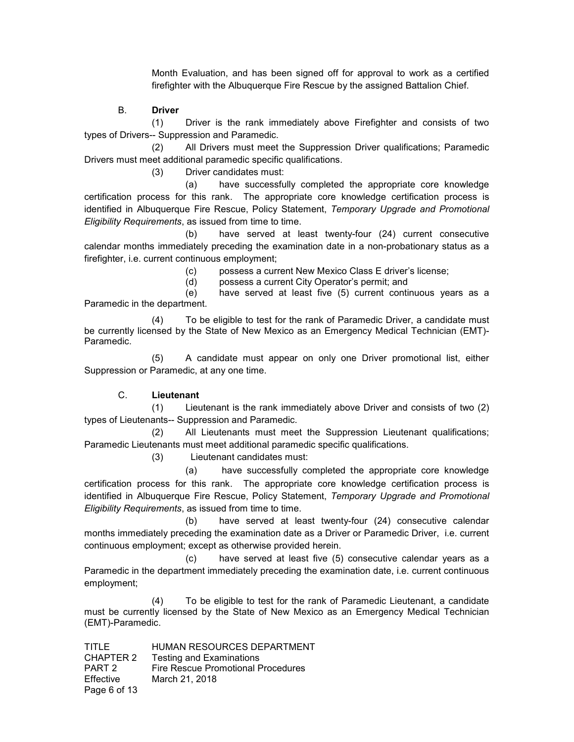Month Evaluation, and has been signed off for approval to work as a certified firefighter with the Albuquerque Fire Rescue by the assigned Battalion Chief.

### B. **Driver**

(1) Driver is the rank immediately above Firefighter and consists of two types of Drivers-- Suppression and Paramedic.

(2) All Drivers must meet the Suppression Driver qualifications; Paramedic Drivers must meet additional paramedic specific qualifications.

(3) Driver candidates must:

(a) have successfully completed the appropriate core knowledge certification process for this rank. The appropriate core knowledge certification process is identified in Albuquerque Fire Rescue, Policy Statement, *Temporary Upgrade and Promotional Eligibility Requirements*, as issued from time to time.

(b) have served at least twenty-four (24) current consecutive calendar months immediately preceding the examination date in a non-probationary status as a firefighter, i.e. current continuous employment;

(c) possess a current New Mexico Class E driver's license;

(d) possess a current City Operator's permit; and

(e) have served at least five (5) current continuous years as a Paramedic in the department.

(4) To be eligible to test for the rank of Paramedic Driver, a candidate must be currently licensed by the State of New Mexico as an Emergency Medical Technician (EMT)- Paramedic.

(5) A candidate must appear on only one Driver promotional list, either Suppression or Paramedic, at any one time.

# C. **Lieutenant**

(1) Lieutenant is the rank immediately above Driver and consists of two (2) types of Lieutenants-- Suppression and Paramedic.

(2) All Lieutenants must meet the Suppression Lieutenant qualifications; Paramedic Lieutenants must meet additional paramedic specific qualifications.

(3) Lieutenant candidates must:

(a) have successfully completed the appropriate core knowledge certification process for this rank. The appropriate core knowledge certification process is identified in Albuquerque Fire Rescue, Policy Statement, *Temporary Upgrade and Promotional Eligibility Requirements*, as issued from time to time.

(b) have served at least twenty-four (24) consecutive calendar months immediately preceding the examination date as a Driver or Paramedic Driver, i.e. current continuous employment; except as otherwise provided herein.

(c) have served at least five (5) consecutive calendar years as a Paramedic in the department immediately preceding the examination date, i.e. current continuous employment;

(4) To be eligible to test for the rank of Paramedic Lieutenant, a candidate must be currently licensed by the State of New Mexico as an Emergency Medical Technician (EMT)-Paramedic.

| TITLE        | HUMAN RESOURCES DEPARTMENT         |
|--------------|------------------------------------|
| CHAPTER 2    | <b>Testing and Examinations</b>    |
| PART 2       | Fire Rescue Promotional Procedures |
| Effective    | March 21, 2018                     |
| Page 6 of 13 |                                    |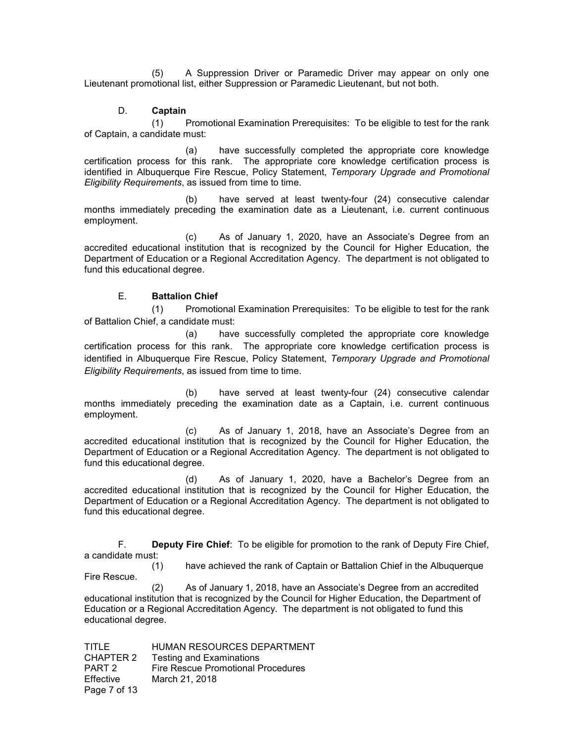(5) A Suppression Driver or Paramedic Driver may appear on only one Lieutenant promotional list, either Suppression or Paramedic Lieutenant, but not both.

# D. **Captain**

(1) Promotional Examination Prerequisites: To be eligible to test for the rank of Captain, a candidate must:

(a) have successfully completed the appropriate core knowledge certification process for this rank. The appropriate core knowledge certification process is identified in Albuquerque Fire Rescue, Policy Statement, *Temporary Upgrade and Promotional Eligibility Requirements*, as issued from time to time.

(b) have served at least twenty-four (24) consecutive calendar months immediately preceding the examination date as a Lieutenant, i.e. current continuous employment.

(c) As of January 1, 2020, have an Associate's Degree from an accredited educational institution that is recognized by the Council for Higher Education, the Department of Education or a Regional Accreditation Agency. The department is not obligated to fund this educational degree.

### E. **Battalion Chief**

(1) Promotional Examination Prerequisites: To be eligible to test for the rank of Battalion Chief, a candidate must:

(a) have successfully completed the appropriate core knowledge certification process for this rank. The appropriate core knowledge certification process is identified in Albuquerque Fire Rescue, Policy Statement, *Temporary Upgrade and Promotional Eligibility Requirements*, as issued from time to time.

(b) have served at least twenty-four (24) consecutive calendar months immediately preceding the examination date as a Captain, i.e. current continuous employment.

(c) As of January 1, 2018, have an Associate's Degree from an accredited educational institution that is recognized by the Council for Higher Education, the Department of Education or a Regional Accreditation Agency. The department is not obligated to fund this educational degree.

(d) As of January 1, 2020, have a Bachelor's Degree from an accredited educational institution that is recognized by the Council for Higher Education, the Department of Education or a Regional Accreditation Agency. The department is not obligated to fund this educational degree.

F. **Deputy Fire Chief**: To be eligible for promotion to the rank of Deputy Fire Chief, a candidate must:

(1) have achieved the rank of Captain or Battalion Chief in the Albuquerque Fire Rescue.

(2) As of January 1, 2018, have an Associate's Degree from an accredited educational institution that is recognized by the Council for Higher Education, the Department of Education or a Regional Accreditation Agency. The department is not obligated to fund this educational degree.

TITLE HUMAN RESOURCES DEPARTMENT CHAPTER 2 Testing and Examinations PART 2 Fire Rescue Promotional Procedures<br>Effective March 21, 2018 March 21, 2018 Page 7 of 13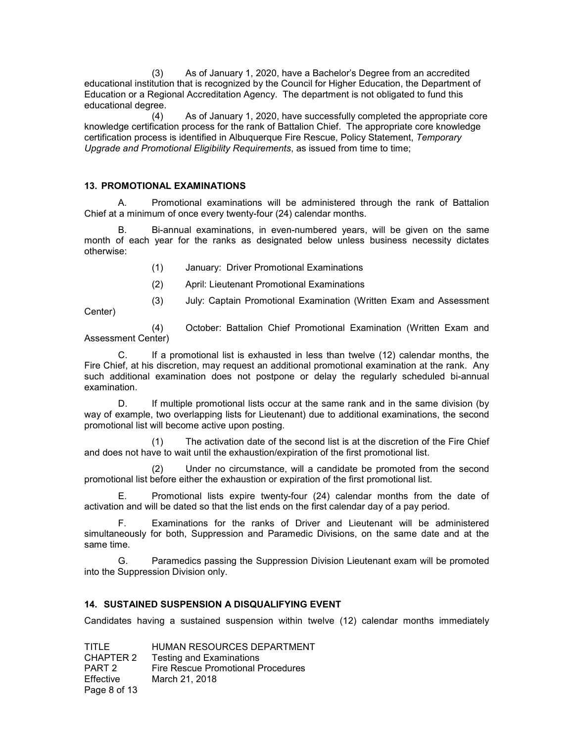(3) As of January 1, 2020, have a Bachelor's Degree from an accredited educational institution that is recognized by the Council for Higher Education, the Department of Education or a Regional Accreditation Agency. The department is not obligated to fund this educational degree.

(4) As of January 1, 2020, have successfully completed the appropriate core knowledge certification process for the rank of Battalion Chief. The appropriate core knowledge certification process is identified in Albuquerque Fire Rescue, Policy Statement, *Temporary Upgrade and Promotional Eligibility Requirements*, as issued from time to time;

#### **13. PROMOTIONAL EXAMINATIONS**

A. Promotional examinations will be administered through the rank of Battalion Chief at a minimum of once every twenty-four (24) calendar months.

Bi-annual examinations, in even-numbered years, will be given on the same month of each year for the ranks as designated below unless business necessity dictates otherwise:

- (1) January: Driver Promotional Examinations
- (2) April: Lieutenant Promotional Examinations
- (3) July: Captain Promotional Examination (Written Exam and Assessment

Center)

(4) October: Battalion Chief Promotional Examination (Written Exam and Assessment Center)

C. If a promotional list is exhausted in less than twelve (12) calendar months, the Fire Chief, at his discretion, may request an additional promotional examination at the rank. Any such additional examination does not postpone or delay the regularly scheduled bi-annual examination.

D. If multiple promotional lists occur at the same rank and in the same division (by way of example, two overlapping lists for Lieutenant) due to additional examinations, the second promotional list will become active upon posting.

(1) The activation date of the second list is at the discretion of the Fire Chief and does not have to wait until the exhaustion/expiration of the first promotional list.

(2) Under no circumstance, will a candidate be promoted from the second promotional list before either the exhaustion or expiration of the first promotional list.

E. Promotional lists expire twenty-four (24) calendar months from the date of activation and will be dated so that the list ends on the first calendar day of a pay period.

F. Examinations for the ranks of Driver and Lieutenant will be administered simultaneously for both, Suppression and Paramedic Divisions, on the same date and at the same time.

G. Paramedics passing the Suppression Division Lieutenant exam will be promoted into the Suppression Division only.

# **14. SUSTAINED SUSPENSION A DISQUALIFYING EVENT**

Candidates having a sustained suspension within twelve (12) calendar months immediately

TITLE HUMAN RESOURCES DEPARTMENT CHAPTER 2 Testing and Examinations PART 2 Fire Rescue Promotional Procedures Effective March 21, 2018 Page 8 of 13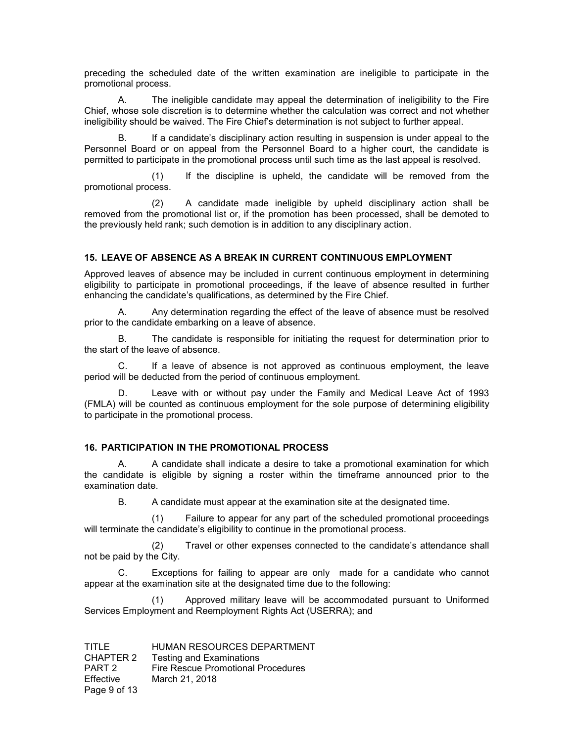preceding the scheduled date of the written examination are ineligible to participate in the promotional process.

A. The ineligible candidate may appeal the determination of ineligibility to the Fire Chief, whose sole discretion is to determine whether the calculation was correct and not whether ineligibility should be waived. The Fire Chief's determination is not subject to further appeal.

If a candidate's disciplinary action resulting in suspension is under appeal to the Personnel Board or on appeal from the Personnel Board to a higher court, the candidate is permitted to participate in the promotional process until such time as the last appeal is resolved.

(1) If the discipline is upheld, the candidate will be removed from the promotional process.

(2) A candidate made ineligible by upheld disciplinary action shall be removed from the promotional list or, if the promotion has been processed, shall be demoted to the previously held rank; such demotion is in addition to any disciplinary action.

# **15. LEAVE OF ABSENCE AS A BREAK IN CURRENT CONTINUOUS EMPLOYMENT**

Approved leaves of absence may be included in current continuous employment in determining eligibility to participate in promotional proceedings, if the leave of absence resulted in further enhancing the candidate's qualifications, as determined by the Fire Chief.

A. Any determination regarding the effect of the leave of absence must be resolved prior to the candidate embarking on a leave of absence.

B. The candidate is responsible for initiating the request for determination prior to the start of the leave of absence.

C. If a leave of absence is not approved as continuous employment, the leave period will be deducted from the period of continuous employment.

Leave with or without pay under the Family and Medical Leave Act of 1993 (FMLA) will be counted as continuous employment for the sole purpose of determining eligibility to participate in the promotional process.

#### **16. PARTICIPATION IN THE PROMOTIONAL PROCESS**

A. A candidate shall indicate a desire to take a promotional examination for which the candidate is eligible by signing a roster within the timeframe announced prior to the examination date.

B. A candidate must appear at the examination site at the designated time.

(1) Failure to appear for any part of the scheduled promotional proceedings will terminate the candidate's eligibility to continue in the promotional process.

(2) Travel or other expenses connected to the candidate's attendance shall not be paid by the City.

C. Exceptions for failing to appear are only made for a candidate who cannot appear at the examination site at the designated time due to the following:

(1) Approved military leave will be accommodated pursuant to Uniformed Services Employment and Reemployment Rights Act (USERRA); and

| TITLE        | HUMAN RESOURCES DEPARTMENT         |
|--------------|------------------------------------|
| CHAPTER 2    | <b>Testing and Examinations</b>    |
| PART 2       | Fire Rescue Promotional Procedures |
| Effective    | March 21, 2018                     |
| Page 9 of 13 |                                    |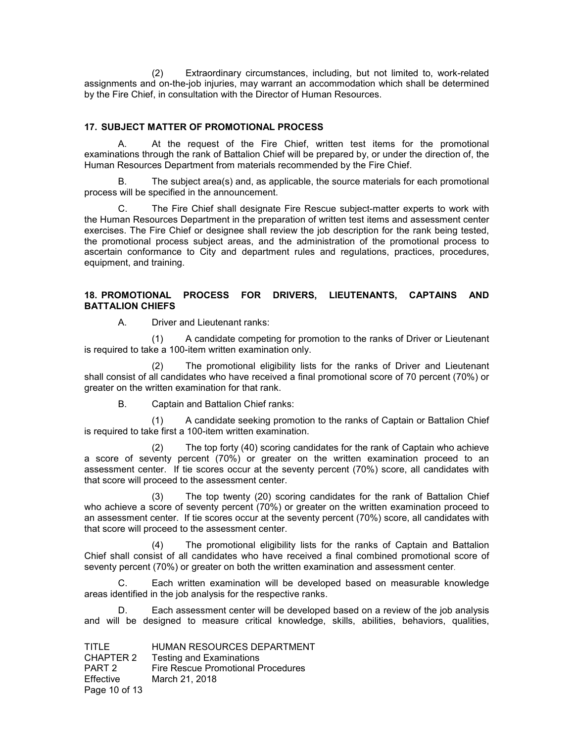(2) Extraordinary circumstances, including, but not limited to, work-related assignments and on-the-job injuries, may warrant an accommodation which shall be determined by the Fire Chief, in consultation with the Director of Human Resources.

### **17. SUBJECT MATTER OF PROMOTIONAL PROCESS**

A. At the request of the Fire Chief, written test items for the promotional examinations through the rank of Battalion Chief will be prepared by, or under the direction of, the Human Resources Department from materials recommended by the Fire Chief.

B. The subject area(s) and, as applicable, the source materials for each promotional process will be specified in the announcement.

C. The Fire Chief shall designate Fire Rescue subject-matter experts to work with the Human Resources Department in the preparation of written test items and assessment center exercises. The Fire Chief or designee shall review the job description for the rank being tested, the promotional process subject areas, and the administration of the promotional process to ascertain conformance to City and department rules and regulations, practices, procedures, equipment, and training.

### **18. PROMOTIONAL PROCESS FOR DRIVERS, LIEUTENANTS, CAPTAINS AND BATTALION CHIEFS**

A. Driver and Lieutenant ranks:

(1) A candidate competing for promotion to the ranks of Driver or Lieutenant is required to take a 100-item written examination only.

(2) The promotional eligibility lists for the ranks of Driver and Lieutenant shall consist of all candidates who have received a final promotional score of 70 percent (70%) or greater on the written examination for that rank.

B. Captain and Battalion Chief ranks:

(1) A candidate seeking promotion to the ranks of Captain or Battalion Chief is required to take first a 100-item written examination.

(2) The top forty (40) scoring candidates for the rank of Captain who achieve a score of seventy percent (70%) or greater on the written examination proceed to an assessment center. If tie scores occur at the seventy percent (70%) score, all candidates with that score will proceed to the assessment center.

(3) The top twenty (20) scoring candidates for the rank of Battalion Chief who achieve a score of seventy percent (70%) or greater on the written examination proceed to an assessment center. If tie scores occur at the seventy percent (70%) score, all candidates with that score will proceed to the assessment center.

(4) The promotional eligibility lists for the ranks of Captain and Battalion Chief shall consist of all candidates who have received a final combined promotional score of seventy percent (70%) or greater on both the written examination and assessment center.

C. Each written examination will be developed based on measurable knowledge areas identified in the job analysis for the respective ranks.

D. Each assessment center will be developed based on a review of the job analysis and will be designed to measure critical knowledge, skills, abilities, behaviors, qualities,

| TITLE         | HUMAN RESOURCES DEPARTMENT         |
|---------------|------------------------------------|
| CHAPTER 2     | <b>Testing and Examinations</b>    |
| PART 2        | Fire Rescue Promotional Procedures |
| Effective     | March 21, 2018                     |
| Page 10 of 13 |                                    |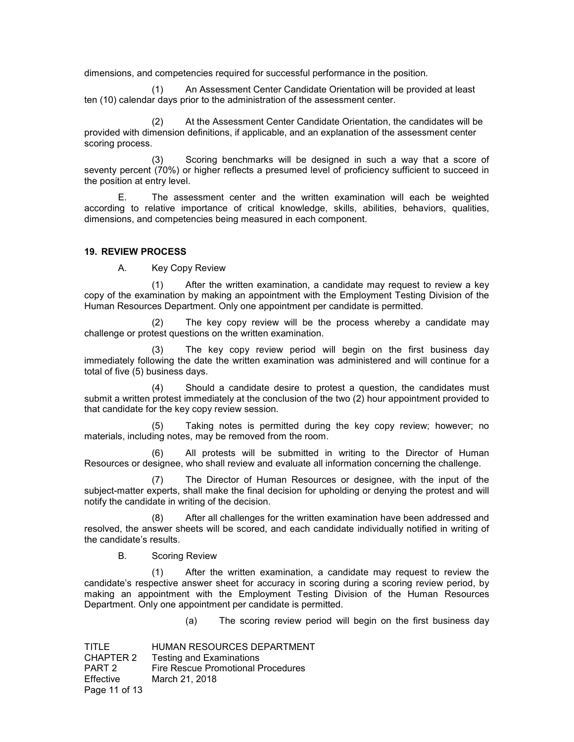dimensions, and competencies required for successful performance in the position.

(1) An Assessment Center Candidate Orientation will be provided at least ten (10) calendar days prior to the administration of the assessment center.

(2) At the Assessment Center Candidate Orientation, the candidates will be provided with dimension definitions, if applicable, and an explanation of the assessment center scoring process.

(3) Scoring benchmarks will be designed in such a way that a score of seventy percent (70%) or higher reflects a presumed level of proficiency sufficient to succeed in the position at entry level.

E. The assessment center and the written examination will each be weighted according to relative importance of critical knowledge, skills, abilities, behaviors, qualities, dimensions, and competencies being measured in each component.

#### **19. REVIEW PROCESS**

A. Key Copy Review

(1) After the written examination, a candidate may request to review a key copy of the examination by making an appointment with the Employment Testing Division of the Human Resources Department. Only one appointment per candidate is permitted.

(2) The key copy review will be the process whereby a candidate may challenge or protest questions on the written examination.

(3) The key copy review period will begin on the first business day immediately following the date the written examination was administered and will continue for a total of five (5) business days.

(4) Should a candidate desire to protest a question, the candidates must submit a written protest immediately at the conclusion of the two (2) hour appointment provided to that candidate for the key copy review session.

(5) Taking notes is permitted during the key copy review; however; no materials, including notes, may be removed from the room.

(6) All protests will be submitted in writing to the Director of Human Resources or designee, who shall review and evaluate all information concerning the challenge.

(7) The Director of Human Resources or designee, with the input of the subject-matter experts, shall make the final decision for upholding or denying the protest and will notify the candidate in writing of the decision.

After all challenges for the written examination have been addressed and resolved, the answer sheets will be scored, and each candidate individually notified in writing of the candidate's results.

#### B. Scoring Review

(1) After the written examination, a candidate may request to review the candidate's respective answer sheet for accuracy in scoring during a scoring review period, by making an appointment with the Employment Testing Division of the Human Resources Department. Only one appointment per candidate is permitted.

(a) The scoring review period will begin on the first business day

TITLE HUMAN RESOURCES DEPARTMENT CHAPTER 2 Testing and Examinations PART 2 Fire Rescue Promotional Procedures Effective March 21, 2018 Page 11 of 13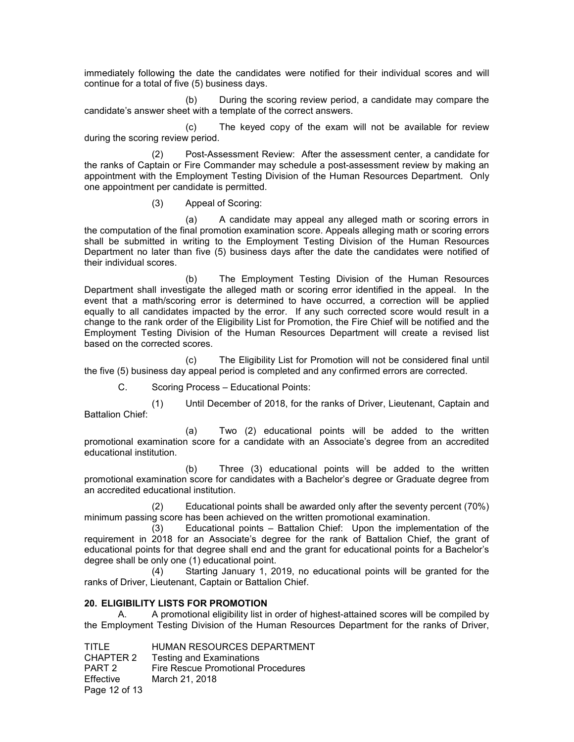immediately following the date the candidates were notified for their individual scores and will continue for a total of five (5) business days.

(b) During the scoring review period, a candidate may compare the candidate's answer sheet with a template of the correct answers.

(c) The keyed copy of the exam will not be available for review during the scoring review period.

(2) Post-Assessment Review: After the assessment center, a candidate for the ranks of Captain or Fire Commander may schedule a post-assessment review by making an appointment with the Employment Testing Division of the Human Resources Department. Only one appointment per candidate is permitted.

(3) Appeal of Scoring:

(a) A candidate may appeal any alleged math or scoring errors in the computation of the final promotion examination score. Appeals alleging math or scoring errors shall be submitted in writing to the Employment Testing Division of the Human Resources Department no later than five (5) business days after the date the candidates were notified of their individual scores.

(b) The Employment Testing Division of the Human Resources Department shall investigate the alleged math or scoring error identified in the appeal. In the event that a math/scoring error is determined to have occurred, a correction will be applied equally to all candidates impacted by the error. If any such corrected score would result in a change to the rank order of the Eligibility List for Promotion, the Fire Chief will be notified and the Employment Testing Division of the Human Resources Department will create a revised list based on the corrected scores.

(c) The Eligibility List for Promotion will not be considered final until the five (5) business day appeal period is completed and any confirmed errors are corrected.

C. Scoring Process – Educational Points:

(1) Until December of 2018, for the ranks of Driver, Lieutenant, Captain and Battalion Chief:

(a) Two (2) educational points will be added to the written promotional examination score for a candidate with an Associate's degree from an accredited educational institution.

(b) Three (3) educational points will be added to the written promotional examination score for candidates with a Bachelor's degree or Graduate degree from an accredited educational institution.

(2) Educational points shall be awarded only after the seventy percent (70%) minimum passing score has been achieved on the written promotional examination.

(3) Educational points – Battalion Chief: Upon the implementation of the requirement in 2018 for an Associate's degree for the rank of Battalion Chief, the grant of educational points for that degree shall end and the grant for educational points for a Bachelor's degree shall be only one (1) educational point.

(4) Starting January 1, 2019, no educational points will be granted for the ranks of Driver, Lieutenant, Captain or Battalion Chief.

# **20. ELIGIBILITY LISTS FOR PROMOTION**

A. A promotional eligibility list in order of highest-attained scores will be compiled by the Employment Testing Division of the Human Resources Department for the ranks of Driver,

TITLE HUMAN RESOURCES DEPARTMENT CHAPTER 2 Testing and Examinations PART 2 Fire Rescue Promotional Procedures Effective March 21, 2018 Page 12 of 13